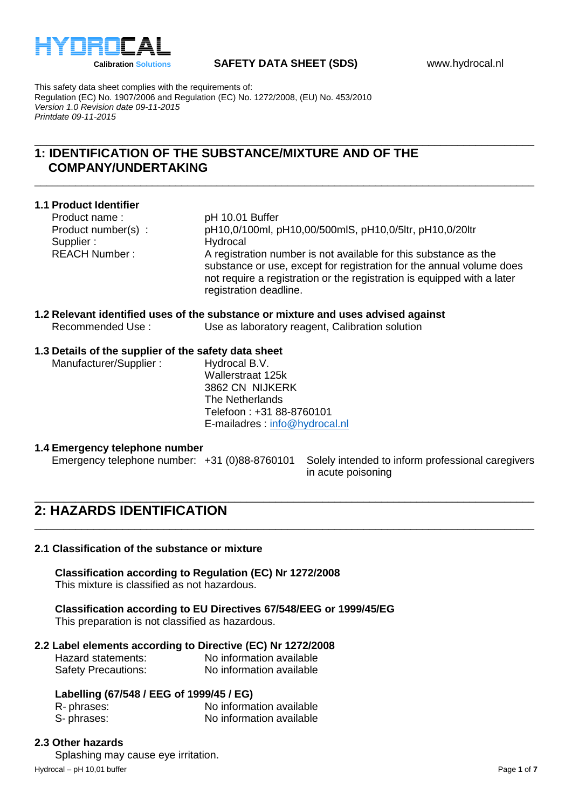

This safety data sheet complies with the requirements of: Regulation (EC) No. 1907/2006 and Regulation (EC) No. 1272/2008, (EU) No. 453/2010 *Version 1.0 Revision date 09-11-2015 Printdate 09-11-2015*

## \_\_\_\_\_\_\_\_\_\_\_\_\_\_\_\_\_\_\_\_\_\_\_\_\_\_\_\_\_\_\_\_\_\_\_\_\_\_\_\_\_\_\_\_\_\_\_\_\_\_\_\_\_\_\_\_\_\_\_\_\_\_\_\_\_\_\_\_\_\_\_\_\_\_\_\_\_\_\_\_\_\_\_\_\_ **1: IDENTIFICATION OF THE SUBSTANCE/MIXTURE AND OF THE COMPANY/UNDERTAKING**

**1.1 Product Identifier** Product name: pH 10.01 Buffer Product number(s) : pH10,0/100ml, pH10,00/500mlS, pH10,0/5ltr, pH10,0/20ltr Supplier : Hydrocal REACH Number : A registration number is not available for this substance as the substance or use, except for registration for the annual volume does not require a registration or the registration is equipped with a later registration deadline.

\_\_\_\_\_\_\_\_\_\_\_\_\_\_\_\_\_\_\_\_\_\_\_\_\_\_\_\_\_\_\_\_\_\_\_\_\_\_\_\_\_\_\_\_\_\_\_\_\_\_\_\_\_\_\_\_\_\_\_\_\_\_\_\_\_\_\_\_\_\_\_\_\_\_\_\_\_\_\_\_\_\_\_\_\_

## **1.2 Relevant identified uses of the substance or mixture and uses advised against** Recommended Use : Use as laboratory reagent, Calibration solution

## **1.3 Details of the supplier of the safety data sheet**

Manufacturer/Supplier : Hydrocal B.V.

Wallerstraat 125k 3862 CN NIJKERK The Netherlands Telefoon : +31 88-8760101 E-mailadres : [info@hydrocal.nl](mailto:info@hydrocal.nl)

\_\_\_\_\_\_\_\_\_\_\_\_\_\_\_\_\_\_\_\_\_\_\_\_\_\_\_\_\_\_\_\_\_\_\_\_\_\_\_\_\_\_\_\_\_\_\_\_\_\_\_\_\_\_\_\_\_\_\_\_\_\_\_\_\_\_\_\_\_\_\_\_\_\_\_\_\_\_\_\_\_\_\_\_\_

\_\_\_\_\_\_\_\_\_\_\_\_\_\_\_\_\_\_\_\_\_\_\_\_\_\_\_\_\_\_\_\_\_\_\_\_\_\_\_\_\_\_\_\_\_\_\_\_\_\_\_\_\_\_\_\_\_\_\_\_\_\_\_\_\_\_\_\_\_\_\_\_\_\_\_\_\_\_\_\_\_\_\_\_\_

### **1.4 Emergency telephone number**

Emergency telephone number: +31 (0)88-8760101 Solely intended to inform professional caregivers

in acute poisoning

# **2: HAZARDS IDENTIFICATION**

### **2.1 Classification of the substance or mixture**

**Classification according to Regulation (EC) Nr 1272/2008**

This mixture is classified as not hazardous.

**Classification according to EU Directives 67/548/EEG or 1999/45/EG**

This preparation is not classified as hazardous.

## **2.2 Label elements according to Directive (EC) Nr 1272/2008**

| Hazard statements:         | No information available |
|----------------------------|--------------------------|
| <b>Safety Precautions:</b> | No information available |

### **Labelling (67/548 / EEG of 1999/45 / EG)**

| R-phrases: | No information available |
|------------|--------------------------|
| S-phrases: | No information available |

Hydrocal – pH 10,01 buffer **Page 1** of **7** and the Page 1 of **7** and the Page 1 of **7** and the Page 1 of **7** and the Page 1 of **7** and the Page 1 of **7** and the Page 1 of **7** and the Page 1 of **7** and the Page 1 of **7** and **2.3 Other hazards** Splashing may cause eye irritation.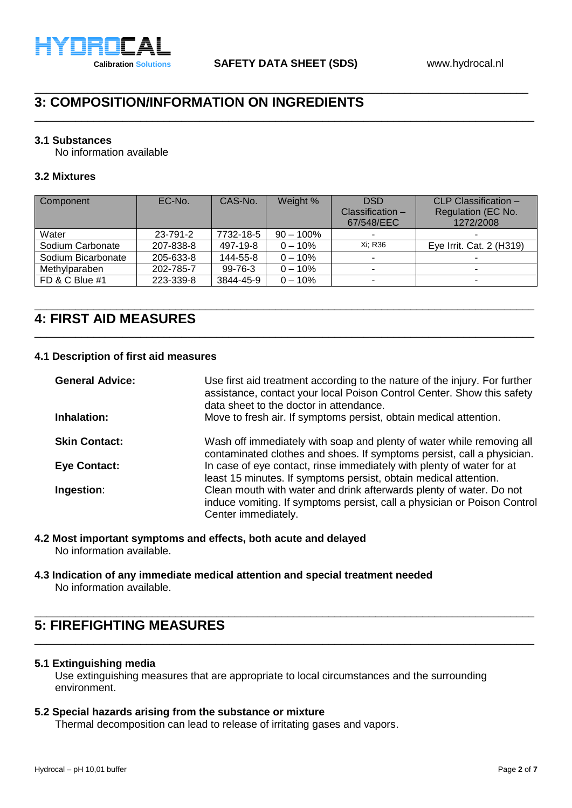

\_\_\_\_\_\_\_\_\_\_\_\_\_\_\_\_\_\_\_\_\_\_\_\_\_\_\_\_\_\_\_\_\_\_\_\_\_\_\_\_\_\_\_\_\_\_\_\_\_\_\_\_\_\_\_\_\_\_\_\_\_\_\_\_\_\_\_\_\_\_\_\_\_\_\_\_\_\_\_\_\_\_\_\_

\_\_\_\_\_\_\_\_\_\_\_\_\_\_\_\_\_\_\_\_\_\_\_\_\_\_\_\_\_\_\_\_\_\_\_\_\_\_\_\_\_\_\_\_\_\_\_\_\_\_\_\_\_\_\_\_\_\_\_\_\_\_\_\_\_\_\_\_\_\_\_\_\_\_\_\_\_\_\_\_\_\_\_\_\_

# **3: COMPOSITION/INFORMATION ON INGREDIENTS**

### **3.1 Substances**

No information available

## **3.2 Mixtures**

| Component          | EC-No.    | CAS-No.   | Weight %     | <b>DSD</b><br>$Classification -$<br>67/548/EEC | CLP Classification -<br>Regulation (EC No.<br>1272/2008 |
|--------------------|-----------|-----------|--------------|------------------------------------------------|---------------------------------------------------------|
| Water              | 23-791-2  | 7732-18-5 | $90 - 100\%$ | ۰                                              |                                                         |
| Sodium Carbonate   | 207-838-8 | 497-19-8  | $0 - 10%$    | Xi: R36                                        | Eye Irrit. Cat. 2 (H319)                                |
| Sodium Bicarbonate | 205-633-8 | 144-55-8  | $0 - 10%$    | $\sim$                                         |                                                         |
| Methylparaben      | 202-785-7 | 99-76-3   | $0 - 10\%$   |                                                |                                                         |
| FD & C Blue #1     | 223-339-8 | 3844-45-9 | $0 - 10%$    | $\overline{\phantom{0}}$                       |                                                         |

\_\_\_\_\_\_\_\_\_\_\_\_\_\_\_\_\_\_\_\_\_\_\_\_\_\_\_\_\_\_\_\_\_\_\_\_\_\_\_\_\_\_\_\_\_\_\_\_\_\_\_\_\_\_\_\_\_\_\_\_\_\_\_\_\_\_\_\_\_\_\_\_\_\_\_\_\_\_\_\_\_\_\_\_\_

\_\_\_\_\_\_\_\_\_\_\_\_\_\_\_\_\_\_\_\_\_\_\_\_\_\_\_\_\_\_\_\_\_\_\_\_\_\_\_\_\_\_\_\_\_\_\_\_\_\_\_\_\_\_\_\_\_\_\_\_\_\_\_\_\_\_\_\_\_\_\_\_\_\_\_\_\_\_\_\_\_\_\_\_\_

# **4: FIRST AID MEASURES**

## **4.1 Description of first aid measures**

| <b>General Advice:</b> | Use first aid treatment according to the nature of the injury. For further<br>assistance, contact your local Poison Control Center. Show this safety<br>data sheet to the doctor in attendance. |
|------------------------|-------------------------------------------------------------------------------------------------------------------------------------------------------------------------------------------------|
| Inhalation:            | Move to fresh air. If symptoms persist, obtain medical attention.                                                                                                                               |
| <b>Skin Contact:</b>   | Wash off immediately with soap and plenty of water while removing all<br>contaminated clothes and shoes. If symptoms persist, call a physician.                                                 |
| <b>Eye Contact:</b>    | In case of eye contact, rinse immediately with plenty of water for at<br>least 15 minutes. If symptoms persist, obtain medical attention.                                                       |
| Ingestion:             | Clean mouth with water and drink afterwards plenty of water. Do not<br>induce vomiting. If symptoms persist, call a physician or Poison Control<br>Center immediately.                          |

# **4.2 Most important symptoms and effects, both acute and delayed**

No information available.

#### **4.3 Indication of any immediate medical attention and special treatment needed** No information available.

# **5: FIREFIGHTING MEASURES**

## **5.1 Extinguishing media**

Use extinguishing measures that are appropriate to local circumstances and the surrounding environment.

\_\_\_\_\_\_\_\_\_\_\_\_\_\_\_\_\_\_\_\_\_\_\_\_\_\_\_\_\_\_\_\_\_\_\_\_\_\_\_\_\_\_\_\_\_\_\_\_\_\_\_\_\_\_\_\_\_\_\_\_\_\_\_\_\_\_\_\_\_\_\_\_\_\_\_\_\_\_\_\_\_\_\_\_\_

\_\_\_\_\_\_\_\_\_\_\_\_\_\_\_\_\_\_\_\_\_\_\_\_\_\_\_\_\_\_\_\_\_\_\_\_\_\_\_\_\_\_\_\_\_\_\_\_\_\_\_\_\_\_\_\_\_\_\_\_\_\_\_\_\_\_\_\_\_\_\_\_\_\_\_\_\_\_\_\_\_\_\_\_\_

## **5.2 Special hazards arising from the substance or mixture**

Thermal decomposition can lead to release of irritating gases and vapors.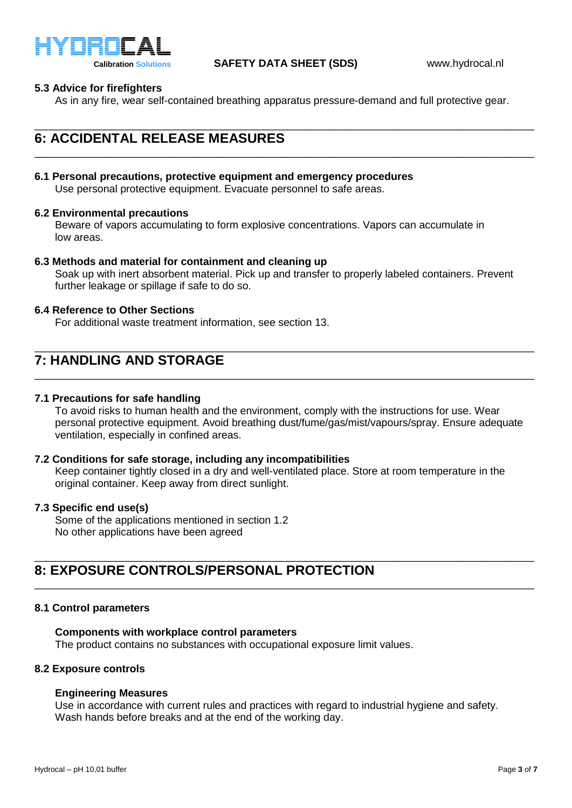

## **5.3 Advice for firefighters**

As in any fire, wear self-contained breathing apparatus pressure-demand and full protective gear.

\_\_\_\_\_\_\_\_\_\_\_\_\_\_\_\_\_\_\_\_\_\_\_\_\_\_\_\_\_\_\_\_\_\_\_\_\_\_\_\_\_\_\_\_\_\_\_\_\_\_\_\_\_\_\_\_\_\_\_\_\_\_\_\_\_\_\_\_\_\_\_\_\_\_\_\_\_\_\_\_\_\_\_\_\_

## \_\_\_\_\_\_\_\_\_\_\_\_\_\_\_\_\_\_\_\_\_\_\_\_\_\_\_\_\_\_\_\_\_\_\_\_\_\_\_\_\_\_\_\_\_\_\_\_\_\_\_\_\_\_\_\_\_\_\_\_\_\_\_\_\_\_\_\_\_\_\_\_\_\_\_\_\_\_\_\_\_\_\_\_\_ **6: ACCIDENTAL RELEASE MEASURES**

#### **6.1 Personal precautions, protective equipment and emergency procedures** Use personal protective equipment. Evacuate personnel to safe areas.

### **6.2 Environmental precautions**

Beware of vapors accumulating to form explosive concentrations. Vapors can accumulate in low areas.

#### **6.3 Methods and material for containment and cleaning up**

Soak up with inert absorbent material. Pick up and transfer to properly labeled containers. Prevent further leakage or spillage if safe to do so.

\_\_\_\_\_\_\_\_\_\_\_\_\_\_\_\_\_\_\_\_\_\_\_\_\_\_\_\_\_\_\_\_\_\_\_\_\_\_\_\_\_\_\_\_\_\_\_\_\_\_\_\_\_\_\_\_\_\_\_\_\_\_\_\_\_\_\_\_\_\_\_\_\_\_\_\_\_\_\_\_\_\_\_\_\_

\_\_\_\_\_\_\_\_\_\_\_\_\_\_\_\_\_\_\_\_\_\_\_\_\_\_\_\_\_\_\_\_\_\_\_\_\_\_\_\_\_\_\_\_\_\_\_\_\_\_\_\_\_\_\_\_\_\_\_\_\_\_\_\_\_\_\_\_\_\_\_\_\_\_\_\_\_\_\_\_\_\_\_\_\_

#### **6.4 Reference to Other Sections**

For additional waste treatment information, see section 13.

## **7: HANDLING AND STORAGE**

#### **7.1 Precautions for safe handling**

To avoid risks to human health and the environment, comply with the instructions for use. Wear personal protective equipment. Avoid breathing dust/fume/gas/mist/vapours/spray. Ensure adequate ventilation, especially in confined areas.

#### **7.2 Conditions for safe storage, including any incompatibilities**

Keep container tightly closed in a dry and well-ventilated place. Store at room temperature in the original container. Keep away from direct sunlight.

\_\_\_\_\_\_\_\_\_\_\_\_\_\_\_\_\_\_\_\_\_\_\_\_\_\_\_\_\_\_\_\_\_\_\_\_\_\_\_\_\_\_\_\_\_\_\_\_\_\_\_\_\_\_\_\_\_\_\_\_\_\_\_\_\_\_\_\_\_\_\_\_\_\_\_\_\_\_\_\_\_\_\_\_\_

\_\_\_\_\_\_\_\_\_\_\_\_\_\_\_\_\_\_\_\_\_\_\_\_\_\_\_\_\_\_\_\_\_\_\_\_\_\_\_\_\_\_\_\_\_\_\_\_\_\_\_\_\_\_\_\_\_\_\_\_\_\_\_\_\_\_\_\_\_\_\_\_\_\_\_\_\_\_\_\_\_\_\_\_\_

### **7.3 Specific end use(s)**

Some of the applications mentioned in section 1.2 No other applications have been agreed

## **8: EXPOSURE CONTROLS/PERSONAL PROTECTION**

#### **8.1 Control parameters**

#### **Components with workplace control parameters**

The product contains no substances with occupational exposure limit values.

### **8.2 Exposure controls**

#### **Engineering Measures**

Use in accordance with current rules and practices with regard to industrial hygiene and safety. Wash hands before breaks and at the end of the working day.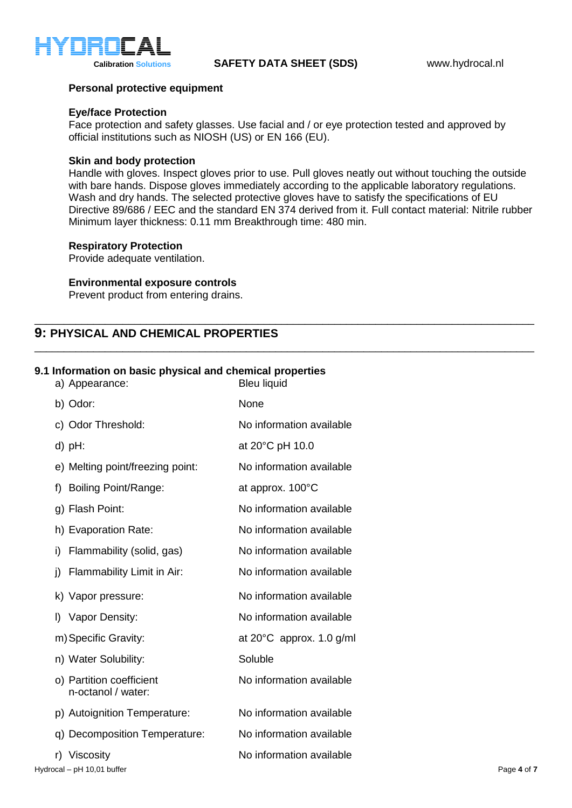

## **Personal protective equipment**

## **Eye/face Protection**

Face protection and safety glasses. Use facial and / or eye protection tested and approved by official institutions such as NIOSH (US) or EN 166 (EU).

### **Skin and body protection**

Handle with gloves. Inspect gloves prior to use. Pull gloves neatly out without touching the outside with bare hands. Dispose gloves immediately according to the applicable laboratory regulations. Wash and dry hands. The selected protective gloves have to satisfy the specifications of EU Directive 89/686 / EEC and the standard EN 374 derived from it. Full contact material: Nitrile rubber Minimum layer thickness: 0.11 mm Breakthrough time: 480 min.

\_\_\_\_\_\_\_\_\_\_\_\_\_\_\_\_\_\_\_\_\_\_\_\_\_\_\_\_\_\_\_\_\_\_\_\_\_\_\_\_\_\_\_\_\_\_\_\_\_\_\_\_\_\_\_\_\_\_\_\_\_\_\_\_\_\_\_\_\_\_\_\_\_\_\_\_\_\_\_\_\_\_\_\_\_

\_\_\_\_\_\_\_\_\_\_\_\_\_\_\_\_\_\_\_\_\_\_\_\_\_\_\_\_\_\_\_\_\_\_\_\_\_\_\_\_\_\_\_\_\_\_\_\_\_\_\_\_\_\_\_\_\_\_\_\_\_\_\_\_\_\_\_\_\_\_\_\_\_\_\_\_\_\_\_\_\_\_\_\_\_

### **Respiratory Protection**

Provide adequate ventilation.

## **Environmental exposure controls**

Prevent product from entering drains.

## **9: PHYSICAL AND CHEMICAL PROPERTIES**

## **9.1 Information on basic physical and chemical properties**

|              | a) Appearance:                                 | <b>Bleu liquid</b>                 |             |
|--------------|------------------------------------------------|------------------------------------|-------------|
|              | b) Odor:                                       | None                               |             |
|              | c) Odor Threshold:                             | No information available           |             |
|              | $d)$ pH:                                       | at 20°C pH 10.0                    |             |
|              | e) Melting point/freezing point:               | No information available           |             |
| f)           | <b>Boiling Point/Range:</b>                    | at approx. 100°C                   |             |
|              | g) Flash Point:                                | No information available           |             |
|              | h) Evaporation Rate:                           | No information available           |             |
| i)           | Flammability (solid, gas)                      | No information available           |             |
| i)           | Flammability Limit in Air:                     | No information available           |             |
|              | k) Vapor pressure:                             | No information available           |             |
| $\mathsf{I}$ | Vapor Density:                                 | No information available           |             |
|              | m) Specific Gravity:                           | at $20^{\circ}$ C approx. 1.0 g/ml |             |
|              | n) Water Solubility:                           | Soluble                            |             |
|              | o) Partition coefficient<br>n-octanol / water: | No information available           |             |
|              | p) Autoignition Temperature:                   | No information available           |             |
|              | q) Decomposition Temperature:                  | No information available           |             |
|              | r) Viscosity                                   | No information available           |             |
|              | Hydrocal - pH 10,01 buffer                     |                                    | Page 4 of 7 |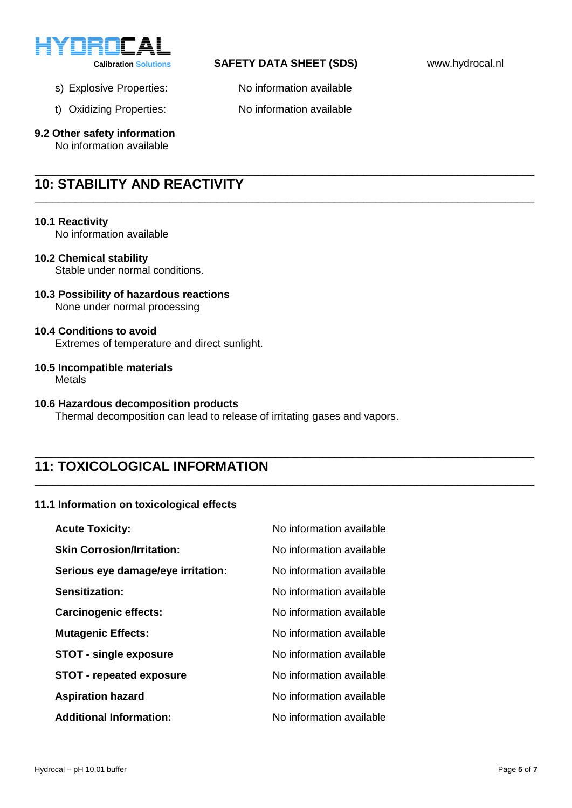

## **Calibration Solutions SAFETY DATA SHEET (SDS)** www.hydrocal.nl

\_\_\_\_\_\_\_\_\_\_\_\_\_\_\_\_\_\_\_\_\_\_\_\_\_\_\_\_\_\_\_\_\_\_\_\_\_\_\_\_\_\_\_\_\_\_\_\_\_\_\_\_\_\_\_\_\_\_\_\_\_\_\_\_\_\_\_\_\_\_\_\_\_\_\_\_\_\_\_\_\_\_\_\_\_

\_\_\_\_\_\_\_\_\_\_\_\_\_\_\_\_\_\_\_\_\_\_\_\_\_\_\_\_\_\_\_\_\_\_\_\_\_\_\_\_\_\_\_\_\_\_\_\_\_\_\_\_\_\_\_\_\_\_\_\_\_\_\_\_\_\_\_\_\_\_\_\_\_\_\_\_\_\_\_\_\_\_\_\_\_

\_\_\_\_\_\_\_\_\_\_\_\_\_\_\_\_\_\_\_\_\_\_\_\_\_\_\_\_\_\_\_\_\_\_\_\_\_\_\_\_\_\_\_\_\_\_\_\_\_\_\_\_\_\_\_\_\_\_\_\_\_\_\_\_\_\_\_\_\_\_\_\_\_\_\_\_\_\_\_\_\_\_\_\_\_

\_\_\_\_\_\_\_\_\_\_\_\_\_\_\_\_\_\_\_\_\_\_\_\_\_\_\_\_\_\_\_\_\_\_\_\_\_\_\_\_\_\_\_\_\_\_\_\_\_\_\_\_\_\_\_\_\_\_\_\_\_\_\_\_\_\_\_\_\_\_\_\_\_\_\_\_\_\_\_\_\_\_\_\_\_

- s) Explosive Properties: No information available
- t) Oxidizing Properties: No information available
- **9.2 Other safety information**

No information available

## **10: STABILITY AND REACTIVITY**

#### **10.1 Reactivity**

No information available

### **10.2 Chemical stability**

Stable under normal conditions.

**10.3 Possibility of hazardous reactions** None under normal processing

### **10.4 Conditions to avoid**

Extremes of temperature and direct sunlight.

**10.5 Incompatible materials**

**Metals** 

#### **10.6 Hazardous decomposition products**

Thermal decomposition can lead to release of irritating gases and vapors.

## **11: TOXICOLOGICAL INFORMATION**

### **11.1 Information on toxicological effects**

| <b>Acute Toxicity:</b>             | No information available |
|------------------------------------|--------------------------|
| <b>Skin Corrosion/Irritation:</b>  | No information available |
| Serious eye damage/eye irritation: | No information available |
| Sensitization:                     | No information available |
| <b>Carcinogenic effects:</b>       | No information available |
| <b>Mutagenic Effects:</b>          | No information available |
| <b>STOT - single exposure</b>      | No information available |
| <b>STOT - repeated exposure</b>    | No information available |
| <b>Aspiration hazard</b>           | No information available |
| <b>Additional Information:</b>     | No information available |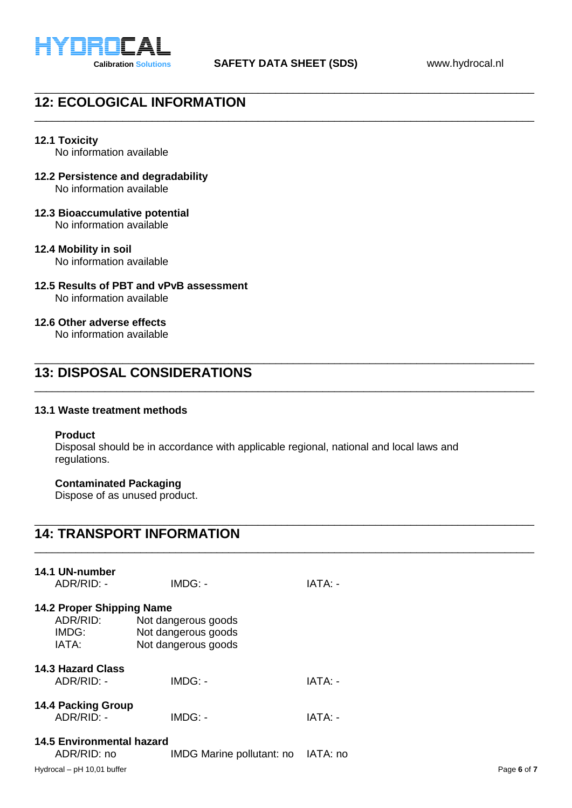

\_\_\_\_\_\_\_\_\_\_\_\_\_\_\_\_\_\_\_\_\_\_\_\_\_\_\_\_\_\_\_\_\_\_\_\_\_\_\_\_\_\_\_\_\_\_\_\_\_\_\_\_\_\_\_\_\_\_\_\_\_\_\_\_\_\_\_\_\_\_\_\_\_\_\_\_\_\_\_\_\_\_\_\_\_

\_\_\_\_\_\_\_\_\_\_\_\_\_\_\_\_\_\_\_\_\_\_\_\_\_\_\_\_\_\_\_\_\_\_\_\_\_\_\_\_\_\_\_\_\_\_\_\_\_\_\_\_\_\_\_\_\_\_\_\_\_\_\_\_\_\_\_\_\_\_\_\_\_\_\_\_\_\_\_\_\_\_\_\_\_

# **12: ECOLOGICAL INFORMATION**

### **12.1 Toxicity**

No information available

- **12.2 Persistence and degradability** No information available
- **12.3 Bioaccumulative potential** No information available
- **12.4 Mobility in soil**

No information available

**12.5 Results of PBT and vPvB assessment**

No information available

## **12.6 Other adverse effects**

No information available

## **13: DISPOSAL CONSIDERATIONS**

#### **13.1 Waste treatment methods**

#### **Product**

Disposal should be in accordance with applicable regional, national and local laws and regulations.

\_\_\_\_\_\_\_\_\_\_\_\_\_\_\_\_\_\_\_\_\_\_\_\_\_\_\_\_\_\_\_\_\_\_\_\_\_\_\_\_\_\_\_\_\_\_\_\_\_\_\_\_\_\_\_\_\_\_\_\_\_\_\_\_\_\_\_\_\_\_\_\_\_\_\_\_\_\_\_\_\_\_\_\_\_

\_\_\_\_\_\_\_\_\_\_\_\_\_\_\_\_\_\_\_\_\_\_\_\_\_\_\_\_\_\_\_\_\_\_\_\_\_\_\_\_\_\_\_\_\_\_\_\_\_\_\_\_\_\_\_\_\_\_\_\_\_\_\_\_\_\_\_\_\_\_\_\_\_\_\_\_\_\_\_\_\_\_\_\_\_

\_\_\_\_\_\_\_\_\_\_\_\_\_\_\_\_\_\_\_\_\_\_\_\_\_\_\_\_\_\_\_\_\_\_\_\_\_\_\_\_\_\_\_\_\_\_\_\_\_\_\_\_\_\_\_\_\_\_\_\_\_\_\_\_\_\_\_\_\_\_\_\_\_\_\_\_\_\_\_\_\_\_\_\_\_

\_\_\_\_\_\_\_\_\_\_\_\_\_\_\_\_\_\_\_\_\_\_\_\_\_\_\_\_\_\_\_\_\_\_\_\_\_\_\_\_\_\_\_\_\_\_\_\_\_\_\_\_\_\_\_\_\_\_\_\_\_\_\_\_\_\_\_\_\_\_\_\_\_\_\_\_\_\_\_\_\_\_\_\_\_

## **Contaminated Packaging**

Dispose of as unused product.

# **14: TRANSPORT INFORMATION**

| 14.1 UN-number<br>ADR/RID: -                            | $IMDG: -$                                                         | IATA: -  |
|---------------------------------------------------------|-------------------------------------------------------------------|----------|
| 14.2 Proper Shipping Name<br>ADR/RID:<br>IMDG:<br>IATA: | Not dangerous goods<br>Not dangerous goods<br>Not dangerous goods |          |
| <b>14.3 Hazard Class</b><br>ADR/RID: -                  | IMDG: -                                                           | IATA: -  |
| <b>14.4 Packing Group</b><br>ADR/RID: -                 | IMDG: -                                                           | IATA: -  |
| <b>14.5 Environmental hazard</b><br>ADR/RID: no         | IMDG Marine pollutant: no                                         | IATA: no |